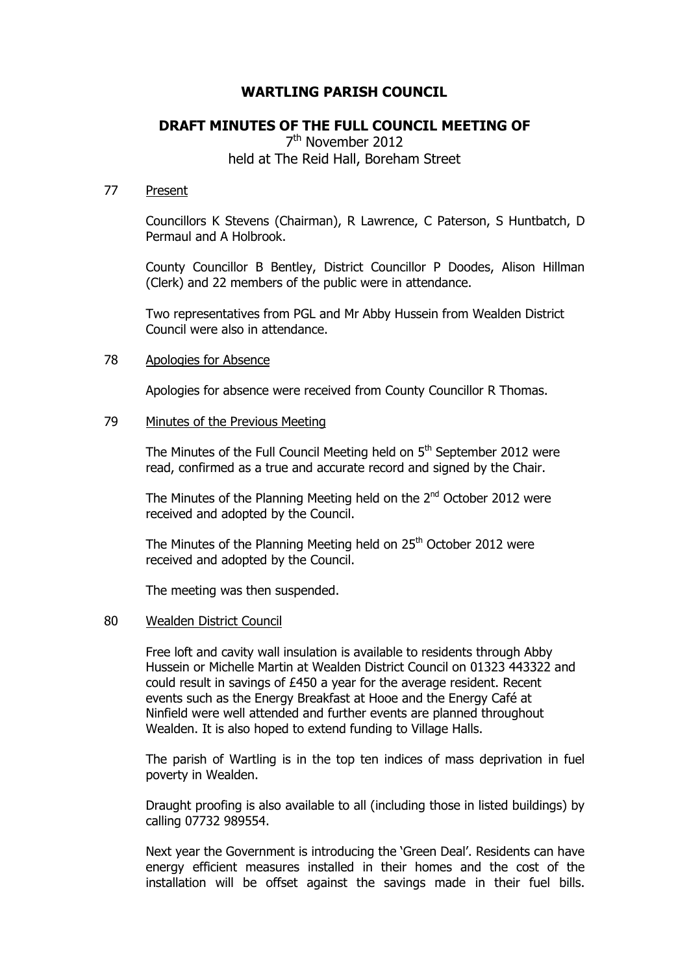# **WARTLING PARISH COUNCIL**

# **DRAFT MINUTES OF THE FULL COUNCIL MEETING OF**

7<sup>th</sup> November 2012 held at The Reid Hall, Boreham Street

#### 77 Present

Councillors K Stevens (Chairman), R Lawrence, C Paterson, S Huntbatch, D Permaul and A Holbrook.

County Councillor B Bentley, District Councillor P Doodes, Alison Hillman (Clerk) and 22 members of the public were in attendance.

Two representatives from PGL and Mr Abby Hussein from Wealden District Council were also in attendance.

# 78 Apologies for Absence

Apologies for absence were received from County Councillor R Thomas.

# 79 Minutes of the Previous Meeting

The Minutes of the Full Council Meeting held on 5<sup>th</sup> September 2012 were read, confirmed as a true and accurate record and signed by the Chair.

The Minutes of the Planning Meeting held on the  $2^{nd}$  October 2012 were received and adopted by the Council.

The Minutes of the Planning Meeting held on 25<sup>th</sup> October 2012 were received and adopted by the Council.

The meeting was then suspended.

#### 80 Wealden District Council

Free loft and cavity wall insulation is available to residents through Abby Hussein or Michelle Martin at Wealden District Council on 01323 443322 and could result in savings of £450 a year for the average resident. Recent events such as the Energy Breakfast at Hooe and the Energy Café at Ninfield were well attended and further events are planned throughout Wealden. It is also hoped to extend funding to Village Halls.

The parish of Wartling is in the top ten indices of mass deprivation in fuel poverty in Wealden.

Draught proofing is also available to all (including those in listed buildings) by calling 07732 989554.

Next year the Government is introducing the 'Green Deal'. Residents can have energy efficient measures installed in their homes and the cost of the installation will be offset against the savings made in their fuel bills.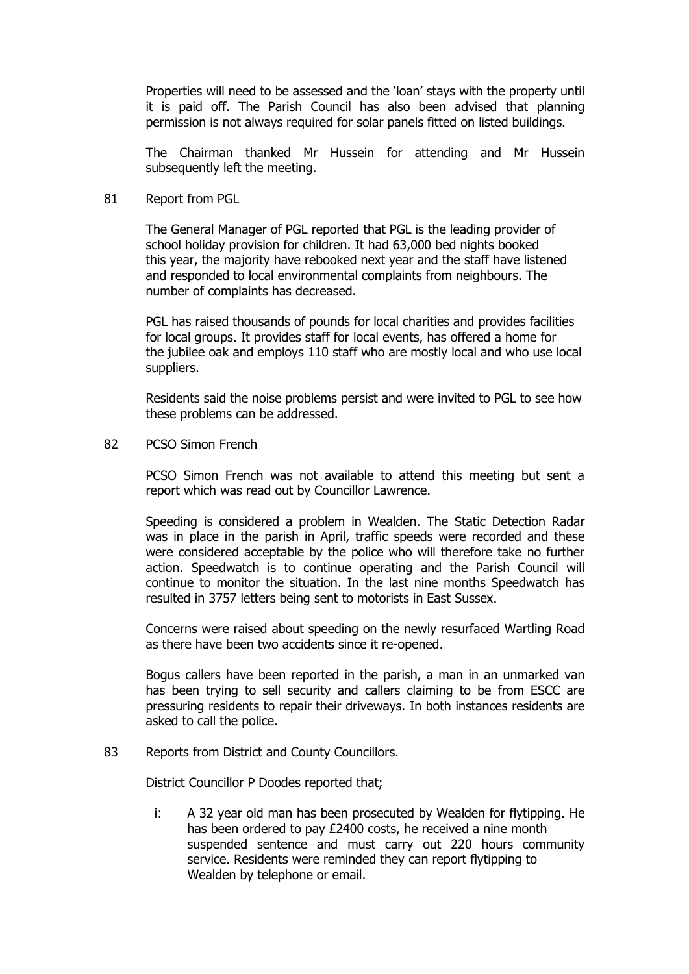Properties will need to be assessed and the 'loan' stays with the property until it is paid off. The Parish Council has also been advised that planning permission is not always required for solar panels fitted on listed buildings.

The Chairman thanked Mr Hussein for attending and Mr Hussein subsequently left the meeting.

# 81 Report from PGL

The General Manager of PGL reported that PGL is the leading provider of school holiday provision for children. It had 63,000 bed nights booked this year, the majority have rebooked next year and the staff have listened and responded to local environmental complaints from neighbours. The number of complaints has decreased.

PGL has raised thousands of pounds for local charities and provides facilities for local groups. It provides staff for local events, has offered a home for the jubilee oak and employs 110 staff who are mostly local and who use local suppliers.

Residents said the noise problems persist and were invited to PGL to see how these problems can be addressed.

# 82 PCSO Simon French

PCSO Simon French was not available to attend this meeting but sent a report which was read out by Councillor Lawrence.

Speeding is considered a problem in Wealden. The Static Detection Radar was in place in the parish in April, traffic speeds were recorded and these were considered acceptable by the police who will therefore take no further action. Speedwatch is to continue operating and the Parish Council will continue to monitor the situation. In the last nine months Speedwatch has resulted in 3757 letters being sent to motorists in East Sussex.

Concerns were raised about speeding on the newly resurfaced Wartling Road as there have been two accidents since it re-opened.

Bogus callers have been reported in the parish, a man in an unmarked van has been trying to sell security and callers claiming to be from ESCC are pressuring residents to repair their driveways. In both instances residents are asked to call the police.

#### 83 Reports from District and County Councillors.

District Councillor P Doodes reported that;

i: A 32 year old man has been prosecuted by Wealden for flytipping. He has been ordered to pay £2400 costs, he received a nine month suspended sentence and must carry out 220 hours community service. Residents were reminded they can report flytipping to Wealden by telephone or email.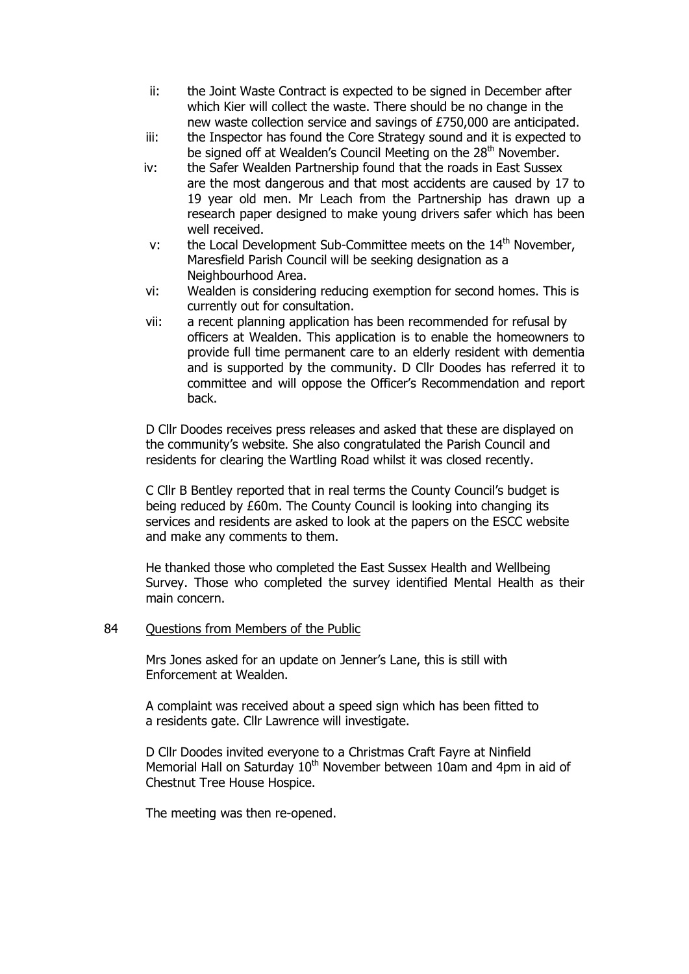- ii: the Joint Waste Contract is expected to be signed in December after which Kier will collect the waste. There should be no change in the new waste collection service and savings of £750,000 are anticipated.
- iii: the Inspector has found the Core Strategy sound and it is expected to be signed off at Wealden's Council Meeting on the 28<sup>th</sup> November.
- iv: the Safer Wealden Partnership found that the roads in East Sussex are the most dangerous and that most accidents are caused by 17 to 19 year old men. Mr Leach from the Partnership has drawn up a research paper designed to make young drivers safer which has been well received.
- v: the Local Development Sub-Committee meets on the  $14<sup>th</sup>$  November, Maresfield Parish Council will be seeking designation as a Neighbourhood Area.
- vi: Wealden is considering reducing exemption for second homes. This is currently out for consultation.
- vii: a recent planning application has been recommended for refusal by officers at Wealden. This application is to enable the homeowners to provide full time permanent care to an elderly resident with dementia and is supported by the community. D Cllr Doodes has referred it to committee and will oppose the Officer's Recommendation and report back.

D Cllr Doodes receives press releases and asked that these are displayed on the community's website. She also congratulated the Parish Council and residents for clearing the Wartling Road whilst it was closed recently.

C Cllr B Bentley reported that in real terms the County Council's budget is being reduced by £60m. The County Council is looking into changing its services and residents are asked to look at the papers on the ESCC website and make any comments to them.

He thanked those who completed the East Sussex Health and Wellbeing Survey. Those who completed the survey identified Mental Health as their main concern.

#### 84 Ouestions from Members of the Public

Mrs Jones asked for an update on Jenner's Lane, this is still with Enforcement at Wealden.

A complaint was received about a speed sign which has been fitted to a residents gate. Cllr Lawrence will investigate.

D Cllr Doodes invited everyone to a Christmas Craft Fayre at Ninfield Memorial Hall on Saturday  $10<sup>th</sup>$  November between 10am and 4pm in aid of Chestnut Tree House Hospice.

The meeting was then re-opened.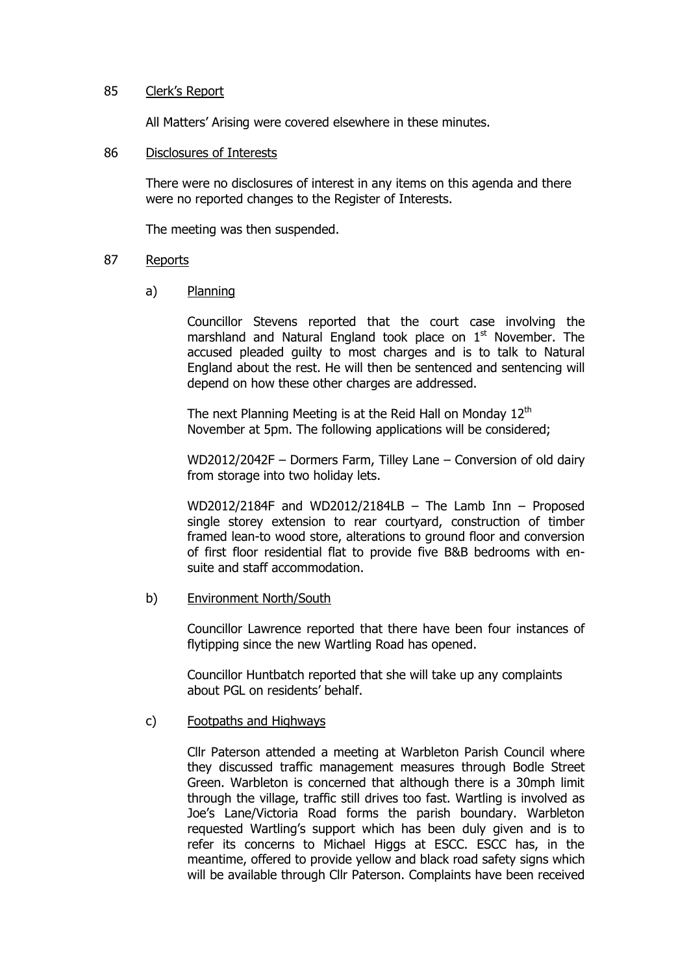# 85 Clerk's Report

All Matters' Arising were covered elsewhere in these minutes.

#### 86 Disclosures of Interests

There were no disclosures of interest in any items on this agenda and there were no reported changes to the Register of Interests.

The meeting was then suspended.

# 87 Reports

a) Planning

Councillor Stevens reported that the court case involving the marshland and Natural England took place on 1<sup>st</sup> November. The accused pleaded guilty to most charges and is to talk to Natural England about the rest. He will then be sentenced and sentencing will depend on how these other charges are addressed.

The next Planning Meeting is at the Reid Hall on Monday  $12<sup>th</sup>$ November at 5pm. The following applications will be considered;

WD2012/2042F – Dormers Farm, Tilley Lane – Conversion of old dairy from storage into two holiday lets.

WD2012/2184F and WD2012/2184LB – The Lamb Inn – Proposed single storey extension to rear courtyard, construction of timber framed lean-to wood store, alterations to ground floor and conversion of first floor residential flat to provide five B&B bedrooms with ensuite and staff accommodation.

#### b) Environment North/South

Councillor Lawrence reported that there have been four instances of flytipping since the new Wartling Road has opened.

Councillor Huntbatch reported that she will take up any complaints about PGL on residents' behalf.

#### c) Footpaths and Highways

Cllr Paterson attended a meeting at Warbleton Parish Council where they discussed traffic management measures through Bodle Street Green. Warbleton is concerned that although there is a 30mph limit through the village, traffic still drives too fast. Wartling is involved as Joe's Lane/Victoria Road forms the parish boundary. Warbleton requested Wartling's support which has been duly given and is to refer its concerns to Michael Higgs at ESCC. ESCC has, in the meantime, offered to provide yellow and black road safety signs which will be available through Cllr Paterson. Complaints have been received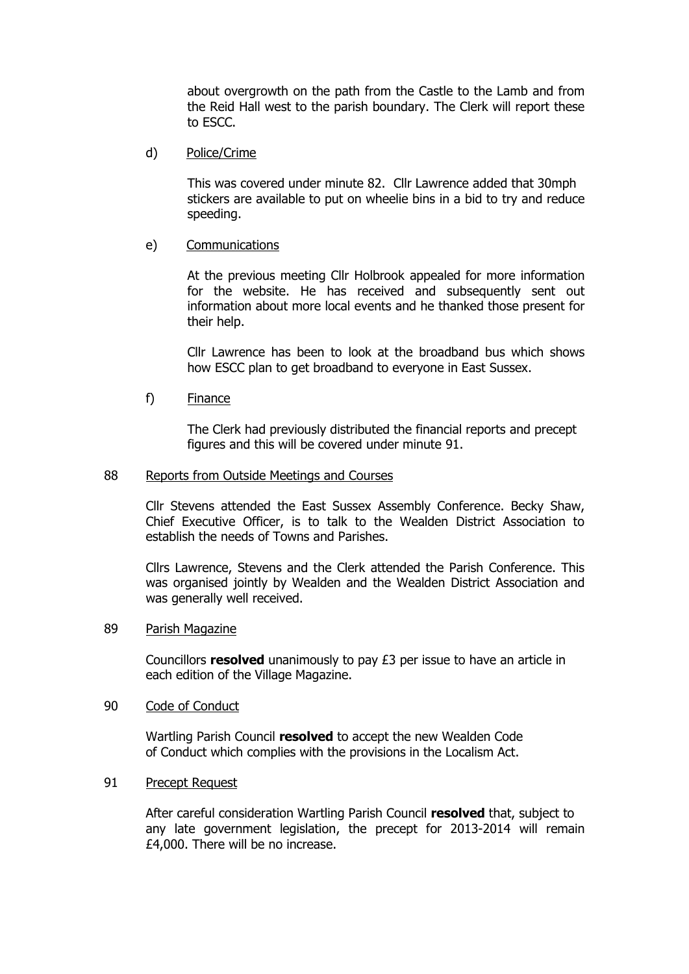about overgrowth on the path from the Castle to the Lamb and from the Reid Hall west to the parish boundary. The Clerk will report these to ESCC.

d) Police/Crime

This was covered under minute 82. Cllr Lawrence added that 30mph stickers are available to put on wheelie bins in a bid to try and reduce speeding.

# e) Communications

At the previous meeting Cllr Holbrook appealed for more information for the website. He has received and subsequently sent out information about more local events and he thanked those present for their help.

Cllr Lawrence has been to look at the broadband bus which shows how ESCC plan to get broadband to everyone in East Sussex.

f) Finance

The Clerk had previously distributed the financial reports and precept figures and this will be covered under minute 91.

#### 88 Reports from Outside Meetings and Courses

Cllr Stevens attended the East Sussex Assembly Conference. Becky Shaw, Chief Executive Officer, is to talk to the Wealden District Association to establish the needs of Towns and Parishes.

Cllrs Lawrence, Stevens and the Clerk attended the Parish Conference. This was organised jointly by Wealden and the Wealden District Association and was generally well received.

#### 89 Parish Magazine

Councillors **resolved** unanimously to pay £3 per issue to have an article in each edition of the Village Magazine.

# 90 Code of Conduct

Wartling Parish Council **resolved** to accept the new Wealden Code of Conduct which complies with the provisions in the Localism Act.

#### 91 Precept Request

After careful consideration Wartling Parish Council **resolved** that, subject to any late government legislation, the precept for 2013-2014 will remain £4,000. There will be no increase.